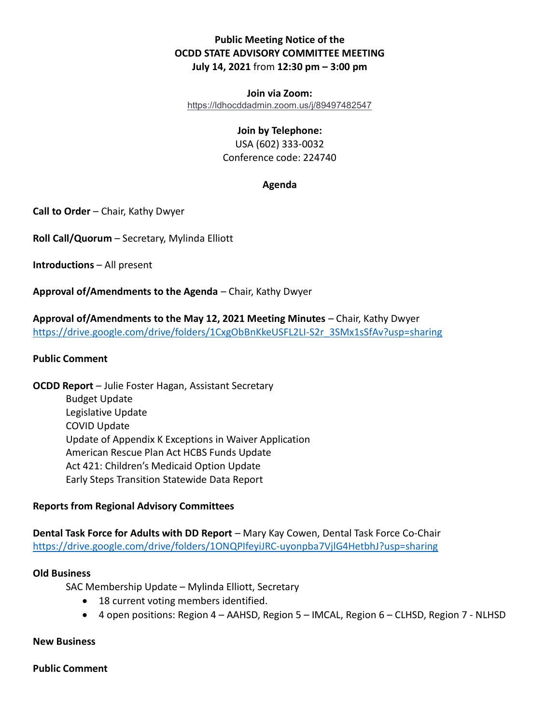# Public Meeting Notice of the OCDD STATE ADVISORY COMMITTEE MEETING July 14, 2021 from 12:30 pm – 3:00 pm

Join via Zoom: https://ldhocddadmin.zoom.us/j/89497482547

## Join by Telephone:

USA (602) 333-0032 Conference code: 224740

## Agenda

Call to Order – Chair, Kathy Dwyer

Roll Call/Quorum – Secretary, Mylinda Elliott

Introductions – All present

Approval of/Amendments to the Agenda – Chair, Kathy Dwyer

Approval of/Amendments to the May 12, 2021 Meeting Minutes – Chair, Kathy Dwyer https://drive.google.com/drive/folders/1CxgObBnKkeUSFL2LI-S2r\_3SMx1sSfAv?usp=sharing

### Public Comment

OCDD Report – Julie Foster Hagan, Assistant Secretary Budget Update Legislative Update COVID Update Update of Appendix K Exceptions in Waiver Application American Rescue Plan Act HCBS Funds Update Act 421: Children's Medicaid Option Update Early Steps Transition Statewide Data Report

## Reports from Regional Advisory Committees

Dental Task Force for Adults with DD Report – Mary Kay Cowen, Dental Task Force Co-Chair https://drive.google.com/drive/folders/1ONQPIfeyiJRC-uyonpba7VjlG4HetbhJ?usp=sharing

### Old Business

SAC Membership Update – Mylinda Elliott, Secretary

- 18 current voting members identified.
- 4 open positions: Region 4 AAHSD, Region 5 IMCAL, Region 6 CLHSD, Region 7 NLHSD

#### New Business

Public Comment